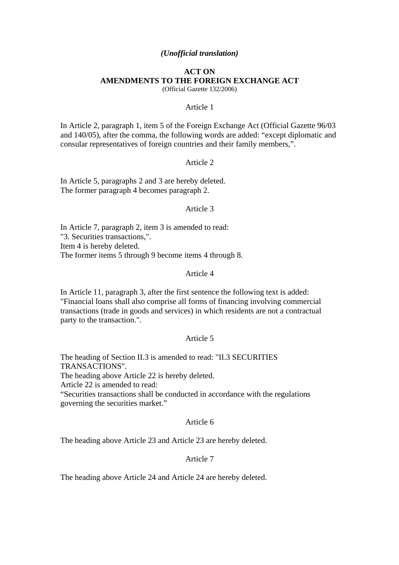## *(Unofficial translation)*

#### **ACT ON AMENDMENTS TO THE FOREIGN EXCHANGE ACT**  (Official Gazette 132/2006)

#### Article 1

In Article 2, paragraph 1, item 5 of the Foreign Exchange Act (Official Gazette 96/03 and 140/05), after the comma, the following words are added: "except diplomatic and consular representatives of foreign countries and their family members,".

#### Article 2

In Article 5, paragraphs 2 and 3 are hereby deleted. The former paragraph 4 becomes paragraph 2.

### Article 3

In Article 7, paragraph 2, item 3 is amended to read: "3. Securities transactions,". Item 4 is hereby deleted. The former items 5 through 9 become items 4 through 8.

#### Article 4

In Article 11, paragraph 3, after the first sentence the following text is added: "Financial loans shall also comprise all forms of financing involving commercial transactions (trade in goods and services) in which residents are not a contractual party to the transaction.".

#### Article 5

The heading of Section II.3 is amended to read: "II.3 SECURITIES TRANSACTIONS".

The heading above Article 22 is hereby deleted.

Article 22 is amended to read:

"Securities transactions shall be conducted in accordance with the regulations governing the securities market."

## Article 6

The heading above Article 23 and Article 23 are hereby deleted.

# Article 7

The heading above Article 24 and Article 24 are hereby deleted.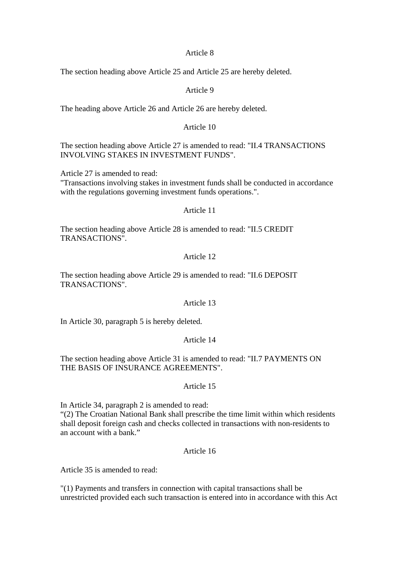### Article 8

The section heading above Article 25 and Article 25 are hereby deleted.

## Article 9

The heading above Article 26 and Article 26 are hereby deleted.

### Article 10

The section heading above Article 27 is amended to read: "II.4 TRANSACTIONS INVOLVING STAKES IN INVESTMENT FUNDS".

Article 27 is amended to read:

"Transactions involving stakes in investment funds shall be conducted in accordance with the regulations governing investment funds operations.".

# Article 11

The section heading above Article 28 is amended to read: "II.5 CREDIT TRANSACTIONS".

## Article 12

The section heading above Article 29 is amended to read: "II.6 DEPOSIT TRANSACTIONS".

#### Article 13

In Article 30, paragraph 5 is hereby deleted.

# Article 14

The section heading above Article 31 is amended to read: "II.7 PAYMENTS ON THE BASIS OF INSURANCE AGREEMENTS".

#### Article 15

In Article 34, paragraph 2 is amended to read: "(2) The Croatian National Bank shall prescribe the time limit within which residents shall deposit foreign cash and checks collected in transactions with non-residents to an account with a bank."

# Article 16

Article 35 is amended to read:

"(1) Payments and transfers in connection with capital transactions shall be unrestricted provided each such transaction is entered into in accordance with this Act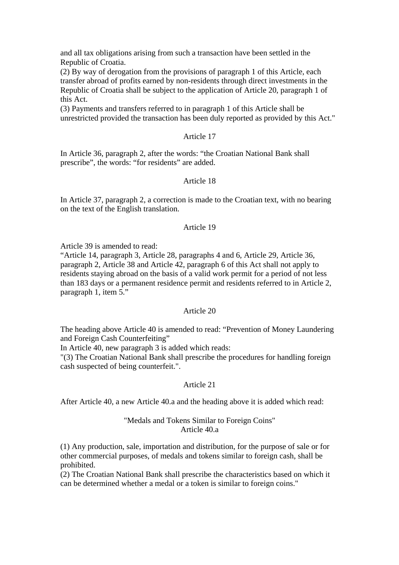and all tax obligations arising from such a transaction have been settled in the Republic of Croatia.

(2) By way of derogation from the provisions of paragraph 1 of this Article, each transfer abroad of profits earned by non-residents through direct investments in the Republic of Croatia shall be subject to the application of Article 20, paragraph 1 of this Act.

(3) Payments and transfers referred to in paragraph 1 of this Article shall be unrestricted provided the transaction has been duly reported as provided by this Act."

# Article 17

In Article 36, paragraph 2, after the words: "the Croatian National Bank shall prescribe", the words: "for residents" are added.

### Article 18

In Article 37, paragraph 2, a correction is made to the Croatian text, with no bearing on the text of the English translation.

## Article 19

Article 39 is amended to read:

"Article 14, paragraph 3, Article 28, paragraphs 4 and 6, Article 29, Article 36, paragraph 2, Article 38 and Article 42, paragraph 6 of this Act shall not apply to residents staying abroad on the basis of a valid work permit for a period of not less than 183 days or a permanent residence permit and residents referred to in Article 2, paragraph 1, item 5."

#### Article 20

The heading above Article 40 is amended to read: "Prevention of Money Laundering and Foreign Cash Counterfeiting"

In Article 40, new paragraph 3 is added which reads:

"(3) The Croatian National Bank shall prescribe the procedures for handling foreign cash suspected of being counterfeit.".

### Article 21

After Article 40, a new Article 40.a and the heading above it is added which read:

### "Medals and Tokens Similar to Foreign Coins" Article 40.a

(1) Any production, sale, importation and distribution, for the purpose of sale or for other commercial purposes, of medals and tokens similar to foreign cash, shall be prohibited.

(2) The Croatian National Bank shall prescribe the characteristics based on which it can be determined whether a medal or a token is similar to foreign coins."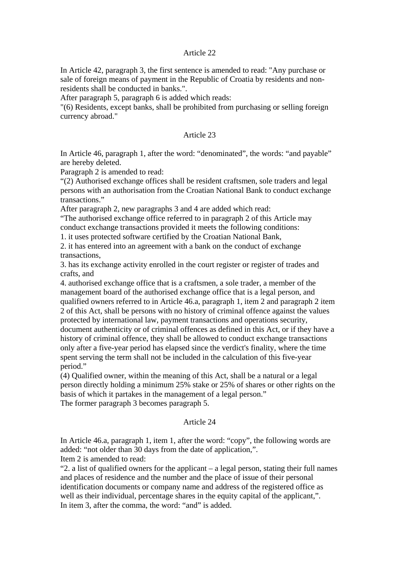## Article 22

In Article 42, paragraph 3, the first sentence is amended to read: "Any purchase or sale of foreign means of payment in the Republic of Croatia by residents and nonresidents shall be conducted in banks.".

After paragraph 5, paragraph 6 is added which reads:

"(6) Residents, except banks, shall be prohibited from purchasing or selling foreign currency abroad."

### Article 23

In Article 46, paragraph 1, after the word: "denominated", the words: "and payable" are hereby deleted.

Paragraph 2 is amended to read:

"(2) Authorised exchange offices shall be resident craftsmen, sole traders and legal persons with an authorisation from the Croatian National Bank to conduct exchange transactions."

After paragraph 2, new paragraphs 3 and 4 are added which read:

"The authorised exchange office referred to in paragraph 2 of this Article may conduct exchange transactions provided it meets the following conditions:

1. it uses protected software certified by the Croatian National Bank,

2. it has entered into an agreement with a bank on the conduct of exchange transactions,

3. has its exchange activity enrolled in the court register or register of trades and crafts, and

4. authorised exchange office that is a craftsmen, a sole trader, a member of the management board of the authorised exchange office that is a legal person, and qualified owners referred to in Article 46.a, paragraph 1, item 2 and paragraph 2 item 2 of this Act, shall be persons with no history of criminal offence against the values protected by international law, payment transactions and operations security, document authenticity or of criminal offences as defined in this Act, or if they have a history of criminal offence, they shall be allowed to conduct exchange transactions only after a five-year period has elapsed since the verdict's finality, where the time spent serving the term shall not be included in the calculation of this five-year period."

(4) Qualified owner, within the meaning of this Act, shall be a natural or a legal person directly holding a minimum 25% stake or 25% of shares or other rights on the basis of which it partakes in the management of a legal person." The former paragraph 3 becomes paragraph 5.

#### Article 24

In Article 46.a, paragraph 1, item 1, after the word: "copy", the following words are added: "not older than 30 days from the date of application,". Item 2 is amended to read:

"2. a list of qualified owners for the applicant  $-$  a legal person, stating their full names and places of residence and the number and the place of issue of their personal identification documents or company name and address of the registered office as well as their individual, percentage shares in the equity capital of the applicant,". In item 3, after the comma, the word: "and" is added.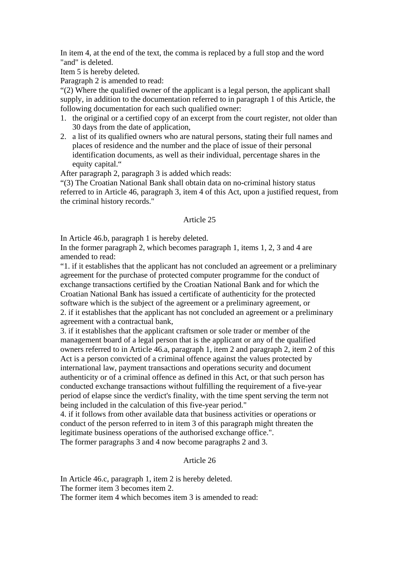In item 4, at the end of the text, the comma is replaced by a full stop and the word "and" is deleted.

Item 5 is hereby deleted.

Paragraph 2 is amended to read:

"(2) Where the qualified owner of the applicant is a legal person, the applicant shall supply, in addition to the documentation referred to in paragraph 1 of this Article, the following documentation for each such qualified owner:

- 1. the original or a certified copy of an excerpt from the court register, not older than 30 days from the date of application,
- 2. a list of its qualified owners who are natural persons, stating their full names and places of residence and the number and the place of issue of their personal identification documents, as well as their individual, percentage shares in the equity capital."

After paragraph 2, paragraph 3 is added which reads:

"(3) The Croatian National Bank shall obtain data on no-criminal history status referred to in Article 46, paragraph 3, item 4 of this Act, upon a justified request, from the criminal history records."

# Article 25

In Article 46.b, paragraph 1 is hereby deleted.

In the former paragraph 2, which becomes paragraph 1, items 1, 2, 3 and 4 are amended to read:

"1. if it establishes that the applicant has not concluded an agreement or a preliminary agreement for the purchase of protected computer programme for the conduct of exchange transactions certified by the Croatian National Bank and for which the Croatian National Bank has issued a certificate of authenticity for the protected software which is the subject of the agreement or a preliminary agreement, or 2. if it establishes that the applicant has not concluded an agreement or a preliminary agreement with a contractual bank,

3. if it establishes that the applicant craftsmen or sole trader or member of the management board of a legal person that is the applicant or any of the qualified owners referred to in Article 46.a, paragraph 1, item 2 and paragraph 2, item 2 of this Act is a person convicted of a criminal offence against the values protected by international law, payment transactions and operations security and document authenticity or of a criminal offence as defined in this Act, or that such person has conducted exchange transactions without fulfilling the requirement of a five-year period of elapse since the verdict's finality, with the time spent serving the term not being included in the calculation of this five-year period."

4. if it follows from other available data that business activities or operations or conduct of the person referred to in item 3 of this paragraph might threaten the legitimate business operations of the authorised exchange office.".

The former paragraphs 3 and 4 now become paragraphs 2 and 3.

# Article 26

In Article 46.c, paragraph 1, item 2 is hereby deleted.

The former item 3 becomes item 2.

The former item 4 which becomes item 3 is amended to read: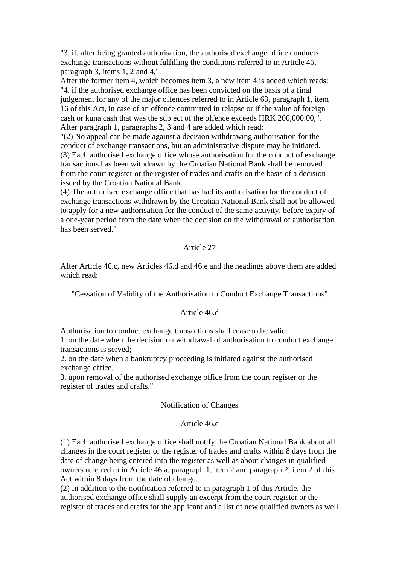"3. if, after being granted authorisation, the authorised exchange office conducts exchange transactions without fulfilling the conditions referred to in Article 46, paragraph 3, items 1, 2 and 4,".

After the former item 4, which becomes item 3, a new item 4 is added which reads: "4. if the authorised exchange office has been convicted on the basis of a final judgement for any of the major offences referred to in Article 63, paragraph 1, item 16 of this Act, in case of an offence committed in relapse or if the value of foreign cash or kuna cash that was the subject of the offence exceeds HRK 200,000.00,". After paragraph 1, paragraphs 2, 3 and 4 are added which read:

"(2) No appeal can be made against a decision withdrawing authorisation for the conduct of exchange transactions, but an administrative dispute may be initiated. (3) Each authorised exchange office whose authorisation for the conduct of exchange transactions has been withdrawn by the Croatian National Bank shall be removed from the court register or the register of trades and crafts on the basis of a decision issued by the Croatian National Bank.

(4) The authorised exchange office that has had its authorisation for the conduct of exchange transactions withdrawn by the Croatian National Bank shall not be allowed to apply for a new authorisation for the conduct of the same activity, before expiry of a one-year period from the date when the decision on the withdrawal of authorisation has been served."

## Article 27

After Article 46.c, new Articles 46.d and 46.e and the headings above them are added which read:

"Cessation of Validity of the Authorisation to Conduct Exchange Transactions"

# Article 46.d

Authorisation to conduct exchange transactions shall cease to be valid:

1. on the date when the decision on withdrawal of authorisation to conduct exchange transactions is served;

2. on the date when a bankruptcy proceeding is initiated against the authorised exchange office,

3. upon removal of the authorised exchange office from the court register or the register of trades and crafts."

### Notification of Changes

### Article 46.e

(1) Each authorised exchange office shall notify the Croatian National Bank about all changes in the court register or the register of trades and crafts within 8 days from the date of change being entered into the register as well as about changes in qualified owners referred to in Article 46.a, paragraph 1, item 2 and paragraph 2, item 2 of this Act within 8 days from the date of change.

(2) In addition to the notification referred to in paragraph 1 of this Article, the authorised exchange office shall supply an excerpt from the court register or the register of trades and crafts for the applicant and a list of new qualified owners as well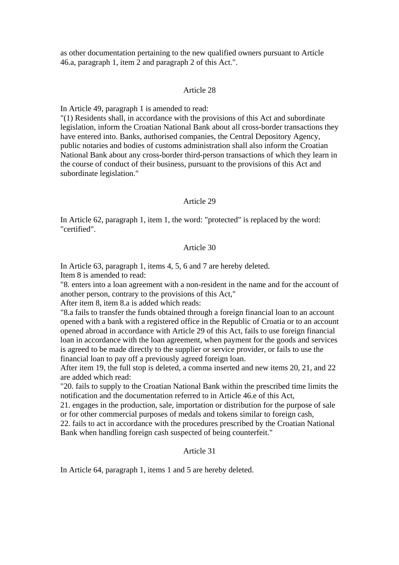as other documentation pertaining to the new qualified owners pursuant to Article 46.a, paragraph 1, item 2 and paragraph 2 of this Act.".

#### Article 28

In Article 49, paragraph 1 is amended to read:

"(1) Residents shall, in accordance with the provisions of this Act and subordinate legislation, inform the Croatian National Bank about all cross-border transactions they have entered into. Banks, authorised companies, the Central Depository Agency, public notaries and bodies of customs administration shall also inform the Croatian National Bank about any cross-border third-person transactions of which they learn in the course of conduct of their business, pursuant to the provisions of this Act and subordinate legislation."

#### Article 29

In Article 62, paragraph 1, item 1, the word: "protected" is replaced by the word: "certified".

### Article 30

In Article 63, paragraph 1, items 4, 5, 6 and 7 are hereby deleted. Item 8 is amended to read:

"8. enters into a loan agreement with a non-resident in the name and for the account of another person, contrary to the provisions of this Act,"

After item 8, item 8.a is added which reads:

"8.a fails to transfer the funds obtained through a foreign financial loan to an account opened with a bank with a registered office in the Republic of Croatia or to an account opened abroad in accordance with Article 29 of this Act, fails to use foreign financial loan in accordance with the loan agreement, when payment for the goods and services is agreed to be made directly to the supplier or service provider, or fails to use the financial loan to pay off a previously agreed foreign loan.

After item 19, the full stop is deleted, a comma inserted and new items 20, 21, and 22 are added which read:

"20. fails to supply to the Croatian National Bank within the prescribed time limits the notification and the documentation referred to in Article 46.e of this Act,

21. engages in the production, sale, importation or distribution for the purpose of sale or for other commercial purposes of medals and tokens similar to foreign cash,

22. fails to act in accordance with the procedures prescribed by the Croatian National Bank when handling foreign cash suspected of being counterfeit."

# Article 31

In Article 64, paragraph 1, items 1 and 5 are hereby deleted.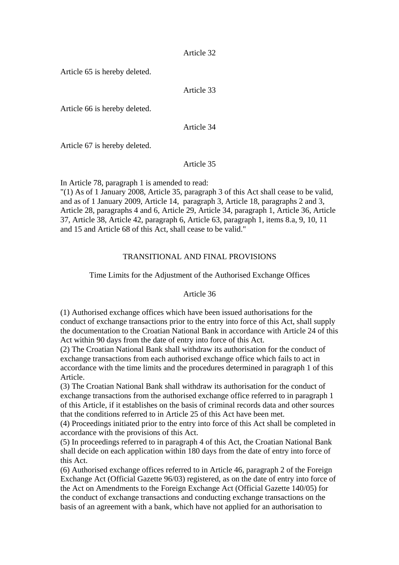Article 32

Article 65 is hereby deleted.

Article 33

Article 66 is hereby deleted.

Article 34

Article 67 is hereby deleted.

Article 35

In Article 78, paragraph 1 is amended to read:

"(1) As of 1 January 2008, Article 35, paragraph 3 of this Act shall cease to be valid, and as of 1 January 2009, Article 14, paragraph 3, Article 18, paragraphs 2 and 3, Article 28, paragraphs 4 and 6, Article 29, Article 34, paragraph 1, Article 36, Article 37, Article 38, Article 42, paragraph 6, Article 63, paragraph 1, items 8.a, 9, 10, 11 and 15 and Article 68 of this Act, shall cease to be valid."

# TRANSITIONAL AND FINAL PROVISIONS

# Time Limits for the Adjustment of the Authorised Exchange Offices

# Article 36

(1) Authorised exchange offices which have been issued authorisations for the conduct of exchange transactions prior to the entry into force of this Act, shall supply the documentation to the Croatian National Bank in accordance with Article 24 of this Act within 90 days from the date of entry into force of this Act.

(2) The Croatian National Bank shall withdraw its authorisation for the conduct of exchange transactions from each authorised exchange office which fails to act in accordance with the time limits and the procedures determined in paragraph 1 of this Article.

(3) The Croatian National Bank shall withdraw its authorisation for the conduct of exchange transactions from the authorised exchange office referred to in paragraph 1 of this Article, if it establishes on the basis of criminal records data and other sources that the conditions referred to in Article 25 of this Act have been met.

(4) Proceedings initiated prior to the entry into force of this Act shall be completed in accordance with the provisions of this Act.

(5) In proceedings referred to in paragraph 4 of this Act, the Croatian National Bank shall decide on each application within 180 days from the date of entry into force of this Act.

(6) Authorised exchange offices referred to in Article 46, paragraph 2 of the Foreign Exchange Act (Official Gazette 96/03) registered, as on the date of entry into force of the Act on Amendments to the Foreign Exchange Act (Official Gazette 140/05) for the conduct of exchange transactions and conducting exchange transactions on the basis of an agreement with a bank, which have not applied for an authorisation to